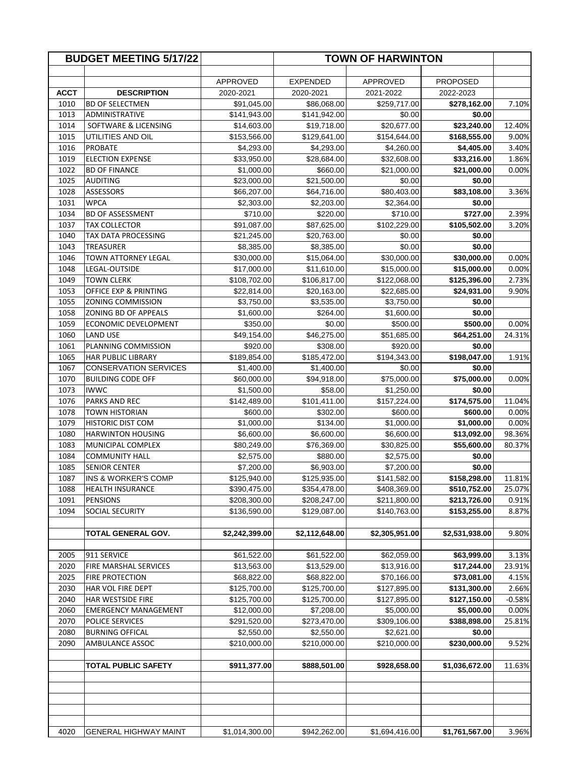| <b>BUDGET MEETING 5/17/22</b> |                                                 |                            | <b>TOWN OF HARWINTON</b>   |                            |                            |                 |
|-------------------------------|-------------------------------------------------|----------------------------|----------------------------|----------------------------|----------------------------|-----------------|
|                               |                                                 |                            |                            |                            |                            |                 |
|                               |                                                 | APPROVED                   | <b>EXPENDED</b>            | <b>APPROVED</b>            | <b>PROPOSED</b>            |                 |
| <b>ACCT</b>                   | <b>DESCRIPTION</b>                              | 2020-2021                  | 2020-2021                  | 2021-2022                  | 2022-2023                  |                 |
| 1010                          | <b>BD OF SELECTMEN</b>                          | \$91,045.00                | \$86,068.00                | \$259,717.00               | \$278,162.00               | 7.10%           |
| 1013                          | ADMINISTRATIVE                                  | \$141,943.00               | \$141,942.00               | \$0.00                     | \$0.00                     |                 |
| 1014                          | SOFTWARE & LICENSING                            | \$14,603.00                | \$19,718.00                | \$20,677.00                | \$23,240.00                | 12.40%          |
| 1015                          | UTILITIES AND OIL                               | \$153,566.00               | \$129,641.00               | \$154,644.00               | \$168,555.00               | 9.00%           |
| 1016                          | <b>PROBATE</b>                                  | \$4,293.00                 | \$4,293.00                 | \$4,260.00                 | \$4,405.00                 | 3.40%           |
| 1019                          | <b>ELECTION EXPENSE</b>                         | \$33,950.00                | \$28,684.00                | \$32,608.00                | \$33,216.00                | 1.86%           |
| 1022                          | <b>BD OF FINANCE</b>                            | \$1,000.00                 | \$660.00                   | \$21,000.00                | \$21,000.00                | 0.00%           |
| 1025                          | AUDITING                                        | \$23,000.00                | \$21,500.00                | \$0.00                     | \$0.00                     |                 |
| 1028                          | <b>ASSESSORS</b><br><b>WPCA</b>                 | \$66,207.00                | \$64,716.00                | \$80,403.00                | \$83,108.00                | 3.36%           |
| 1031                          |                                                 | \$2,303.00<br>\$710.00     | \$2,203.00                 | \$2,364.00                 | \$0.00<br>\$727.00         |                 |
| 1034<br>1037                  | <b>BD OF ASSESSMENT</b><br><b>TAX COLLECTOR</b> | \$91,087.00                | \$220.00<br>\$87,625.00    | \$710.00<br>\$102,229.00   | \$105,502.00               | 2.39%<br>3.20%  |
| 1040                          | TAX DATA PROCESSING                             | \$21,245.00                | \$20,763.00                | \$0.00                     | \$0.00                     |                 |
| 1043                          | <b>TREASURER</b>                                | \$8,385.00                 | \$8,385.00                 | \$0.00                     | \$0.00                     |                 |
| 1046                          | TOWN ATTORNEY LEGAL                             | \$30,000.00                | \$15,064.00                | \$30,000.00                | \$30,000.00                | 0.00%           |
| 1048                          | LEGAL-OUTSIDE                                   | \$17,000.00                | \$11,610.00                | \$15,000.00                | \$15,000.00                | 0.00%           |
| 1049                          | <b>TOWN CLERK</b>                               | \$108,702.00               | \$106,817.00               | \$122,068.00               | \$125,396.00               | 2.73%           |
| 1053                          | OFFICE EXP & PRINTING                           | \$22,814.00                | \$20,163.00                | \$22,685.00                | \$24,931.00                | 9.90%           |
| 1055                          | <b>ZONING COMMISSION</b>                        | \$3,750.00                 | \$3,535.00                 | \$3,750.00                 | \$0.00                     |                 |
| 1058                          | ZONING BD OF APPEALS                            | \$1,600.00                 | \$264.00                   | \$1,600.00                 | \$0.00                     |                 |
| 1059                          | ECONOMIC DEVELOPMENT                            | \$350.00                   | \$0.00                     | \$500.00                   | \$500.00                   | 0.00%           |
| 1060                          | <b>LAND USE</b>                                 | \$49,154.00                | \$46,275.00                | \$51,685.00                | \$64,251.00                | 24.31%          |
| 1061                          | PLANNING COMMISSION                             | \$920.00                   | \$308.00                   | \$920.00                   | \$0.00                     |                 |
| 1065                          | <b>HAR PUBLIC LIBRARY</b>                       | \$189,854.00               | \$185,472.00               | \$194,343.00               | \$198,047.00               | 1.91%           |
| 1067                          | <b>CONSERVATION SERVICES</b>                    | \$1,400.00                 | \$1,400.00                 | \$0.00                     | \$0.00                     |                 |
| 1070                          | <b>BUILDING CODE OFF</b>                        | \$60,000.00                | \$94,918.00                | \$75,000.00                | \$75,000.00                | 0.00%           |
| 1073                          | <b>IWWC</b>                                     | \$1,500.00                 | \$58.00                    | \$1,250.00                 | \$0.00                     |                 |
| 1076                          | <b>PARKS AND REC</b>                            | \$142,489.00               | \$101,411.00               | \$157,224.00               | \$174,575.00               | 11.04%          |
| 1078                          | <b>TOWN HISTORIAN</b>                           | \$600.00                   | \$302.00                   | \$600.00                   | \$600.00                   | 0.00%           |
| 1079                          | <b>HISTORIC DIST COM</b>                        | \$1,000.00                 | \$134.00                   | \$1,000.00                 | \$1,000.00                 | 0.00%           |
| 1080                          | <b>HARWINTON HOUSING</b>                        | \$6,600.00                 | \$6,600.00                 | \$6,600.00                 | \$13,092.00                | 98.36%          |
| 1083                          | MUNICIPAL COMPLEX                               | \$80,249.00                | \$76,369.00                | \$30,825.00                | \$55,600.00                | 80.37%          |
| 1084                          | <b>COMMUNITY HALL</b>                           | \$2,575.00                 | \$880.00                   | \$2,575.00                 | \$0.00                     |                 |
| 1085                          | <b>SENIOR CENTER</b>                            | \$7,200.00                 | \$6,903.00                 | \$7,200.00                 | \$0.00                     |                 |
| 1087                          | INS & WORKER'S COMP                             | \$125,940.00               | \$125,935.00               | \$141,582.00               | \$158,298.00               | 11.81%          |
| 1088                          | <b>HEALTH INSURANCE</b>                         | \$390,475.00               | \$354,478.00               | \$408,369.00               | \$510,752.00               | 25.07%          |
| 1091                          | <b>PENSIONS</b>                                 | \$208,300.00               | \$208,247.00               | \$211,800.00               | \$213,726.00               | 0.91%           |
| 1094                          | SOCIAL SECURITY                                 | \$136,590.00               | \$129,087.00               | \$140,763.00               | \$153,255.00               | 8.87%           |
|                               |                                                 |                            |                            |                            |                            |                 |
|                               | TOTAL GENERAL GOV.                              | \$2,242,399.00             | \$2,112,648.00             | \$2,305,951.00             | \$2,531,938.00             | 9.80%           |
|                               |                                                 |                            |                            |                            |                            |                 |
| 2005<br>2020                  | 911 SERVICE<br><b>FIRE MARSHAL SERVICES</b>     | \$61,522.00<br>\$13,563.00 | \$61,522.00<br>\$13,529.00 | \$62,059.00<br>\$13,916.00 | \$63,999.00<br>\$17,244.00 | 3.13%<br>23.91% |
| 2025                          | <b>FIRE PROTECTION</b>                          | \$68,822.00                | \$68,822.00                | \$70,166.00                | \$73,081.00                | 4.15%           |
| 2030                          | HAR VOL FIRE DEPT                               | \$125,700.00               | \$125,700.00               | \$127,895.00               | \$131,300.00               | 2.66%           |
| 2040                          | <b>HAR WESTSIDE FIRE</b>                        | \$125,700.00               | \$125,700.00               | \$127,895.00               | \$127,150.00               | $-0.58%$        |
| 2060                          | <b>EMERGENCY MANAGEMENT</b>                     | \$12,000.00                | \$7,208.00                 | \$5,000.00                 | \$5,000.00                 | 0.00%           |
| 2070                          | POLICE SERVICES                                 | \$291,520.00               | \$273,470.00               | \$309,106.00               | \$388,898.00               | 25.81%          |
| 2080                          | <b>BURNING OFFICAL</b>                          | \$2,550.00                 | \$2,550.00                 | \$2,621.00                 | \$0.00                     |                 |
| 2090                          | AMBULANCE ASSOC                                 | \$210,000.00               | \$210,000.00               | \$210,000.00               | \$230,000.00               | 9.52%           |
|                               |                                                 |                            |                            |                            |                            |                 |
|                               | <b>TOTAL PUBLIC SAFETY</b>                      | \$911,377.00               | \$888,501.00               | \$928,658.00               | \$1,036,672.00             | 11.63%          |
|                               |                                                 |                            |                            |                            |                            |                 |
| 4020                          | GENERAL HIGHWAY MAINT                           | \$1,014,300.00             | \$942,262.00               | \$1,694,416.00             | \$1,761,567.00             | 3.96%           |